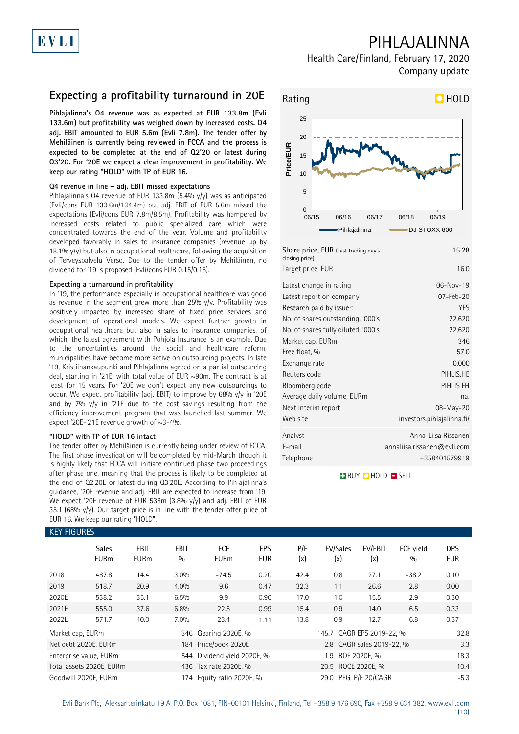# EVLI

## PIHLAJALINNA

Health Care/Finland, February 17, 2020 Company update

## **Expecting a profitability turnaround in 20E**

**Pihlajalinna's Q4 revenue was as expected at EUR 133.8m (Evli 133.6m) but profitability was weighed down by increased costs. Q4 adj. EBIT amounted to EUR 5.6m (Evli 7.8m). The tender offer by Mehiläinen is currently being reviewed in FCCA and the process is expected to be completed at the end of Q2'20 or latest during Q3'20. For '20E we expect a clear improvement in profitability. We keep our rating "HOLD" with TP of EUR 16.** 

### **Q4 revenue in line – adj. EBIT missed expectations**

Pihlajalinna's Q4 revenue of EUR 133.8m (5.4% y/y) was as anticipated (Evli/cons EUR 133.6m/134.4m) but adj. EBIT of EUR 5.6m missed the expectations (Evli/cons EUR 7.8m/8.5m). Profitability was hampered by increased costs related to public specialized care which were concentrated towards the end of the year. Volume and profitability developed favorably in sales to insurance companies (revenue up by 18.1%  $y/y$  but also in occupational healthcare, following the acquisition of Terveyspalvelu Verso. Due to the tender offer by Mehiläinen, no dividend for '19 is proposed (Evli/cons EUR 0.15/0.15).

### **Expecting a turnaround in profitability**

In '19, the performance especially in occupational healthcare was good as revenue in the segment grew more than 25%  $y/y$ . Profitability was positively impacted by increased share of fixed price services and development of operational models. We expect further growth in occupational healthcare but also in sales to insurance companies, of which, the latest agreement with Pohjola Insurance is an example. Due to the uncertainties around the social and healthcare reform, municipalities have become more active on outsourcing projects. In late '19, Kristiinankaupunki and Pihlajalinna agreed on a partial outsourcing deal, starting in '21E, with total value of EUR ~90m. The contract is at least for 15 years. For '20E we don't expect any new outsourcings to occur. We expect profitability (adj. EBIT) to improve by 68% y/y in '20E and by 7% y/y in '21E due to the cost savings resulting from the efficiency improvement program that was launched last summer. We expect '20E-'21E revenue growth of ~3-4%.

### **"HOLD" with TP of EUR 16 intact**

The tender offer by Mehiläinen is currently being under review of FCCA. The first phase investigation will be completed by mid-March though it is highly likely that FCCA will initiate continued phase two proceedings after phase one, meaning that the process is likely to be completed at the end of Q2'20E or latest during Q3'20E. According to Pihlajalinna's guidance, '20E revenue and adj. EBIT are expected to increase from '19. We expect '20E revenue of EUR 538m (3.8% y/y) and adj. EBIT of EUR 35.1 (68% y/y). Our target price is in line with the tender offer price of EUR 16. We keep our rating "HOLD".

### W FIQUE



| closing price)<br>Target price, EUR | 16.0                        |
|-------------------------------------|-----------------------------|
| Latest change in rating             | 06-Nov-19                   |
| Latest report on company            | 07-Feb-20                   |
| Research paid by issuer:            | <b>YES</b>                  |
| No. of shares outstanding, '000's   | 22,620                      |
| No. of shares fully diluted, '000's | 22,620                      |
| Market cap, EURm                    | 346                         |
| Free float, %                       | 57.0                        |
| Exchange rate                       | 0.000                       |
| Reuters code                        | PIHLIS.HE                   |
| Bloomberg code                      | PIHLIS FH                   |
| Average daily volume, EURm          | na.                         |
| Next interim report                 | 08-May-20                   |
| Web site                            | investors.pihlajalinna.fi/  |
| Analyst                             | Anna-Liisa Rissanen         |
| E-mail                              | annaliisa.rissanen@evli.com |
| Telephone                           | +358401579919               |

**BUY Q HOLD O SELL** 

| KEY FIGURES      |                             |                     |                    |                             |                          |            |                           |                           |                            |                          |  |
|------------------|-----------------------------|---------------------|--------------------|-----------------------------|--------------------------|------------|---------------------------|---------------------------|----------------------------|--------------------------|--|
|                  | <b>Sales</b><br><b>EURm</b> | EBIT<br><b>EURm</b> | <b>EBIT</b><br>0/0 | <b>FCF</b><br><b>EURm</b>   | <b>EPS</b><br><b>EUR</b> | P/E<br>(x) | EV/Sales<br>(x)           | EV/EBIT<br>(x)            | FCF yield<br>$\frac{0}{0}$ | <b>DPS</b><br><b>EUR</b> |  |
| 2018             | 487.8                       | 14.4                | 3.0%               | $-74.5$                     | 0.20                     | 42.4       | 0.8                       | 27.1                      | $-38.2$                    | 0.10                     |  |
| 2019             | 518.7                       | 20.9                | 4.0%               | 9.6                         | 0.47                     | 32.3       | 1.1                       | 26.6                      | 2.8                        | 0.00                     |  |
| 2020E            | 538.2                       | 35.1                | 6.5%               | 9.9                         | 0.90                     | 17.0       | 1.0                       | 15.5                      | 2.9                        | 0.30                     |  |
| 2021E            | 555.0                       | 37.6                | 6.8%               | 22.5                        | 0.99                     | 15.4       | 0.9                       | 14.0                      | 6.5                        | 0.33                     |  |
| 2022E            | 571.7                       | 40.0                | 7.0%               | 23.4                        | 1.11                     | 13.8       | 0.9                       | 12.7                      | 6.8                        | 0.37                     |  |
| Market cap, EURm |                             |                     |                    | 346 Gearing 2020E, %        |                          |            | 145.7 CAGR EPS 2019-22, % |                           |                            | 32.8                     |  |
|                  | Net debt 2020E, EURm        |                     |                    | 184 Price/book 2020E        |                          |            |                           | 2.8 CAGR sales 2019-22, % |                            | 3.3                      |  |
|                  | Enterprise value, EURm      |                     |                    | 544 Dividend yield 2020E, % |                          |            | 1.9                       | ROE 2020E, %              |                            | 18.3                     |  |
|                  | Total assets 2020E, EURm    |                     |                    | 436 Tax rate 2020E, %       |                          |            | 20.5 ROCE 2020E, %        |                           |                            | 10.4                     |  |
|                  | Goodwill 2020E, EURm        |                     |                    | 174 Equity ratio 2020E, %   |                          |            | 29.0 PEG. P/E 20/CAGR     |                           |                            | $-5.3$                   |  |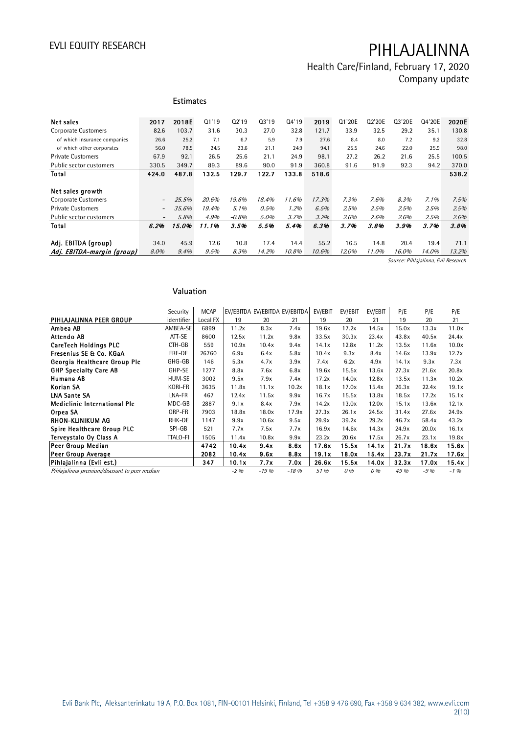Health Care/Finland, February 17, 2020 Company update

|                              |                          | <b>Estimates</b> |       |         |         |       |       |        |        |        |        |       |
|------------------------------|--------------------------|------------------|-------|---------|---------|-------|-------|--------|--------|--------|--------|-------|
| Net sales                    | 2017                     | 2018E            | Q1'19 | 02'19   | 03'19   | 04'19 | 2019  | Q1'20E | Q2'20E | Q3'20E | Q4'20E | 2020E |
| <b>Corporate Customers</b>   | 82.6                     | 103.7            | 31.6  | 30.3    | 27.0    | 32.8  | 121.7 | 33.9   | 32.5   | 29.2   | 35.1   | 130.8 |
| of which insurance companies | 26.6                     | 25.2             | 7.1   | 6.7     | 5.9     | 7.9   | 27.6  | 8.4    | 8.0    | 7.2    | 9.2    | 32.8  |
| of which other corporates    | 56.0                     | 78.5             | 24.5  | 23.6    | 21.1    | 24.9  | 94.1  | 25.5   | 24.6   | 22.0   | 25.9   | 98.0  |
| <b>Private Customers</b>     | 67.9                     | 92.1             | 26.5  | 25.6    | 21.1    | 24.9  | 98.1  | 27.2   | 26.2   | 21.6   | 25.5   | 100.5 |
| Public sector customers      | 330.5                    | 349.7            | 89.3  | 89.6    | 90.0    | 91.9  | 360.8 | 91.6   | 91.9   | 92.3   | 94.2   | 370.0 |
| Total                        | 424.0                    | 487.8            | 132.5 | 129.7   | 122.7   | 133.8 | 518.6 |        |        |        |        | 538.2 |
| Net sales growth             |                          |                  |       |         |         |       |       |        |        |        |        |       |
| Corporate Customers          | $\overline{\phantom{a}}$ | 25.5%            | 20.6% | 19.6%   | 18.4%   | 11.6% | 17.3% | 7.3%   | 7.6%   | 8.3%   | 7.1%   | 7.5%  |
| <b>Private Customers</b>     | $\overline{\phantom{m}}$ | 35.6%            | 19.4% | 5.1%    | $0.5\%$ | 1.2%  | 6.5%  | 2.5%   | 2.5%   | 2.5%   | 2.5%   | 2.5%  |
| Public sector customers      | $\overline{\phantom{0}}$ | 5.8%             | 4.9%  | $-0.8%$ | 5.0%    | 3.7%  | 3.2%  | 2.6%   | 2.6%   | 2.6%   | 2.5%   | 2.6%  |
| Total                        | 6.2%                     | 15.0%            | 11.1% | 3.5%    | 5.5%    | 5.4%  | 6.3%  | 3.7%   | 3.8%   | 3.9%   | 3.7%   | 3.8%  |
| Adj. EBITDA (group)          | 34.0                     | 45.9             | 12.6  | 10.8    | 17.4    | 14.4  | 55.2  | 16.5   | 14.8   | 20.4   | 19.4   | 71.1  |
| Adj. EBITDA-margin (group)   | 8.0%                     | 9.4%             | 9.5%  | 8.3%    | 14.2%   | 10.8% | 10.6% | 12.0%  | 11.0%  | 16.0%  | 14.0%  | 13.2% |

Source: Pihlajalinna, Evli Research

### **Valuation**

| Valuation                                    |                 |             |                               |        |        |         |         |         |       |       |         |
|----------------------------------------------|-----------------|-------------|-------------------------------|--------|--------|---------|---------|---------|-------|-------|---------|
|                                              | Security        | <b>MCAP</b> | EV/EBITDA EV/EBITDA EV/EBITDA |        |        | EV/EBIT | EV/EBIT | EV/EBIT | P/E   | P/E   | P/E     |
| PIHLAJALINNA PEER GROUP                      | identifier      | Local FX    | 19                            | 20     | 21     | 19      | 20      | 21      | 19    | 20    | 21      |
| Ambea AB                                     | AMBEA-SE        | 6899        | 11.2x                         | 8.3x   | 7.4x   | 19.6x   | 17.2x   | 14.5x   | 15.0x | 13.3x | 11.0x   |
| Attendo AB                                   | ATT-SE          | 8600        | 12.5x                         | 11.2x  | 9.8x   | 33.5x   | 30.3x   | 23.4x   | 43.8x | 40.5x | 24.4x   |
| <b>CareTech Holdings PLC</b>                 | CTH-GB          | 559         | 10.9x                         | 10.4x  | 9.4x   | 14.1x   | 12.8x   | 11.2x   | 13.5x | 11.6x | 10.0x   |
| Fresenius SE & Co. KGaA                      | FRE-DE          | 26760       | 6.9x                          | 6.4x   | 5.8x   | 10.4x   | 9.3x    | 8.4x    | 14.6x | 13.9x | 12.7x   |
| Georgia Healthcare Group Plc                 | GHG-GB          | 146         | 5.3x                          | 4.7x   | 3.9x   | 7.4x    | 6.2x    | 4.9x    | 14.1x | 9.3x  | 7.3x    |
| <b>GHP Specialty Care AB</b>                 | GHP-SE          | 1277        | 8.8x                          | 7.6x   | 6.8x   | 19.6x   | 15.5x   | 13.6x   | 27.3x | 21.6x | 20.8x   |
| Humana AB                                    | HUM-SE          | 3002        | 9.5x                          | 7.9x   | 7.4x   | 17.2x   | 14.0x   | 12.8x   | 13.5x | 11.3x | 10.2x   |
| Korian SA                                    | KORI-FR         | 3635        | 11.8x                         | 11.1x  | 10.2x  | 18.1x   | 17.0x   | 15.4x   | 26.3x | 22.4x | 19.1x   |
| <b>LNA Sante SA</b>                          | LNA-FR          | 467         | 12.4x                         | 11.5x  | 9.9x   | 16.7x   | 15.5x   | 13.8x   | 18.5x | 17.2x | 15.1x   |
| <b>Mediclinic International Plc</b>          | MDC-GB          | 2887        | 9.1x                          | 8.4x   | 7.9x   | 14.2x   | 13.0x   | 12.0x   | 15.1x | 13.6x | 12.1x   |
| Orpea SA                                     | ORP-FR          | 7903        | 18.8x                         | 18.0x  | 17.9x  | 27.3x   | 26.1x   | 24.5x   | 31.4x | 27.6x | 24.9x   |
| <b>RHON-KLINIKUM AG</b>                      | RHK-DE          | 1147        | 9.9x                          | 10.6x  | 9.5x   | 29.9x   | 39.2x   | 29.2x   | 46.7x | 58.4x | 43.2x   |
| Spire Healthcare Group PLC                   | SPI-GB          | 521         | 7.7x                          | 7.5x   | 7.7x   | 16.9x   | 14.6x   | 14.3x   | 24.9x | 20.0x | 16.1x   |
| Terveystalo Oy Class A                       | <b>TTALO-FI</b> | 1505        | 11.4x                         | 10.8x  | 9.9x   | 23.2x   | 20.6x   | 17.5x   | 26.7x | 23.1x | 19.8x   |
| Peer Group Median                            |                 | 4742        | 10.4x                         | 9.4x   | 8.6x   | 17.6x   | 15.5x   | 14.1x   | 21.7x | 18.6x | 15.6x   |
| Peer Group Average                           |                 | 2082        | 10.4x                         | 9.6x   | 8.8x   | 19.1x   | 18.0x   | 15.4x   | 23.7x | 21.7x | 17.6x   |
| Pihlajalinna (Evli est.)                     |                 | 347         | 10.1x                         | 7.7x   | 7.0x   | 26.6x   | 15.5x   | 14.0x   | 32.3x | 17.0x | 15.4x   |
| Pihlajalinna premium/discount to peer median |                 |             | $-2\%$                        | $-19%$ | $-18%$ | 51 %    | 0%      | 0%      | 49 %  | $-9%$ | $-1.96$ |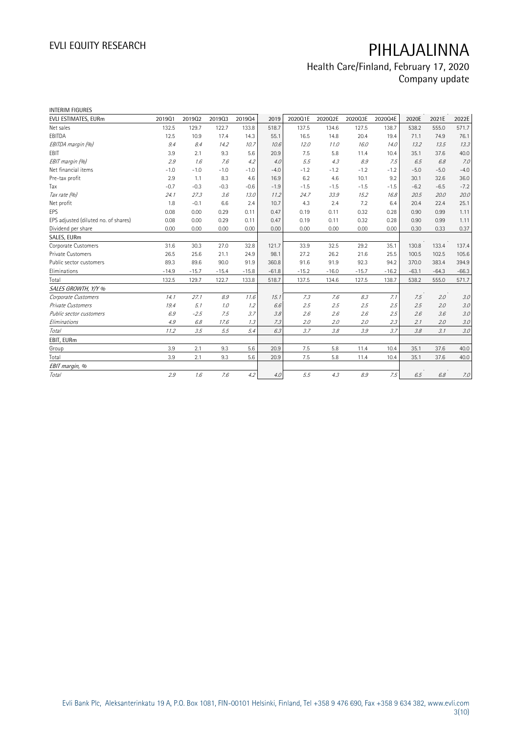## Health Care/Finland, February 17, 2020 Company update

| <b>INTERIM FIGURES</b>               |         |         |         |         |         |         |         |         |         |         |         |         |
|--------------------------------------|---------|---------|---------|---------|---------|---------|---------|---------|---------|---------|---------|---------|
| EVLI ESTIMATES, EURm                 | 201901  | 201902  | 201903  | 201904  | 2019    | 2020Q1E | 2020Q2E | 2020Q3E | 2020Q4E | 2020E   | 2021E   | 2022E   |
| Net sales                            | 132.5   | 129.7   | 122.7   | 133.8   | 518.7   | 137.5   | 134.6   | 127.5   | 138.7   | 538.2   | 555.0   | 571.7   |
| EBITDA                               | 12.5    | 10.9    | 17.4    | 14.3    | 55.1    | 16.5    | 14.8    | 20.4    | 19.4    | 71.1    | 74.9    | 76.1    |
| EBITDA margin (%)                    | 9.4     | 8.4     | 14.2    | 10.7    | 10.6    | 12.0    | 11.0    | 16.0    | 14.0    | 13.2    | 13.5    | 13.3    |
| EBIT                                 | 3.9     | 2.1     | 9.3     | 5.6     | 20.9    | 7.5     | 5.8     | 11.4    | 10.4    | 35.1    | 37.6    | 40.0    |
| EBIT margin (%)                      | 2.9     | 1.6     | 7.6     | 4.2     | 4.0     | 5.5     | 4.3     | 8.9     | 7.5     | 6.5     | 6.8     | 7.0     |
| Net financial items                  | $-1.0$  | $-1.0$  | $-1.0$  | $-1.0$  | $-4.0$  | $-1.2$  | $-1.2$  | $-1.2$  | $-1.2$  | $-5.0$  | $-5.0$  | $-4.0$  |
| Pre-tax profit                       | 2.9     | 1.1     | 8.3     | 4.6     | 16.9    | 6.2     | 4.6     | 10.1    | 9.2     | 30.1    | 32.6    | 36.0    |
| Tax                                  | $-0.7$  | $-0.3$  | $-0.3$  | $-0.6$  | $-1.9$  | $-1.5$  | $-1.5$  | $-1.5$  | $-1.5$  | $-6.2$  | $-6.5$  | $-7.2$  |
| Tax rate (%)                         | 24.1    | 27.3    | 3.6     | 13.0    | 11.2    | 24.7    | 33.9    | 15.2    | 16.8    | 20.5    | 20.0    | 20.0    |
| Net profit                           | 1.8     | $-0.1$  | 6.6     | 2.4     | 10.7    | 4.3     | 2.4     | 7.2     | 6.4     | 20.4    | 22.4    | 25.1    |
| <b>EPS</b>                           | 0.08    | 0.00    | 0.29    | 0.11    | 0.47    | 0.19    | 0.11    | 0.32    | 0.28    | 0.90    | 0.99    | 1.11    |
| EPS adjusted (diluted no. of shares) | 0.08    | 0.00    | 0.29    | 0.11    | 0.47    | 0.19    | 0.11    | 0.32    | 0.28    | 0.90    | 0.99    | 1.11    |
| Dividend per share                   | 0.00    | 0.00    | 0.00    | 0.00    | 0.00    | 0.00    | 0.00    | 0.00    | 0.00    | 0.30    | 0.33    | 0.37    |
| SALES, EURm                          |         |         |         |         |         |         |         |         |         |         |         |         |
| <b>Corporate Customers</b>           | 31.6    | 30.3    | 27.0    | 32.8    | 121.7   | 33.9    | 32.5    | 29.2    | 35.1    | 130.8   | 133.4   | 137.4   |
| Private Customers                    | 26.5    | 25.6    | 21.1    | 24.9    | 98.1    | 27.2    | 26.2    | 21.6    | 25.5    | 100.5   | 102.5   | 105.6   |
| Public sector customers              | 89.3    | 89.6    | 90.0    | 91.9    | 360.8   | 91.6    | 91.9    | 92.3    | 94.2    | 370.0   | 383.4   | 394.9   |
| Eliminations                         | $-14.9$ | $-15.7$ | $-15.4$ | $-15.8$ | $-61.8$ | $-15.2$ | $-16.0$ | $-15.7$ | $-16.2$ | $-63.1$ | $-64.3$ | $-66.3$ |
| Total                                | 132.5   | 129.7   | 122.7   | 133.8   | 518.7   | 137.5   | 134.6   | 127.5   | 138.7   | 538.2   | 555.0   | 571.7   |
| SALES GROWTH, Y/Y %                  |         |         |         |         |         |         |         |         |         |         |         |         |
| Corporate Customers                  | 14.1    | 27.1    | 8.9     | 11.6    | 15.1    | 7.3     | 7.6     | 8.3     | 7.1     | 7.5     | 2.0     | 3.0     |
| <b>Private Customers</b>             | 19.4    | 5.1     | 1.0     | 1.2     | 6.6     | 2.5     | 2.5     | 2.5     | 2.5     | 2.5     | 2.0     | 3.0     |
| Public sector customers              | 6.9     | $-2.5$  | 7.5     | 3.7     | 3.8     | 2.6     | 2.6     | 2.6     | 2.5     | 2.6     | 3.6     | $3.0\,$ |
| Eliminations                         | 4.9     | 6.8     | 17.6    | 1.3     | 7.3     | 2.0     | 2.0     | 2.0     | 2.3     | 2.1     | 2.0     | 3.0     |
| <b>Total</b>                         | 11.2    | 3.5     | 5.5     | 5.4     | 6.3     | 3.7     | 3.8     | 3.9     | 3.7     | 3.8     | 3.1     | 3.0     |
| EBIT, EURm                           |         |         |         |         |         |         |         |         |         |         |         |         |
| Group                                | 3.9     | 2.1     | 9.3     | 5.6     | 20.9    | 7.5     | 5.8     | 11.4    | 10.4    | 35.1    | 37.6    | 40.0    |
| Total                                | 3.9     | 2.1     | 9.3     | 5.6     | 20.9    | 7.5     | 5.8     | 11.4    | 10.4    | 35.1    | 37.6    | 40.0    |
| EBIT margin, %                       |         |         |         |         |         |         |         |         |         |         |         |         |
| Total                                | 2.9     | 1.6     | 7.6     | 4.2     | 4.0     | 5.5     | 4.3     | 8.9     | 7.5     | 6.5     | 6.8     | 7.0     |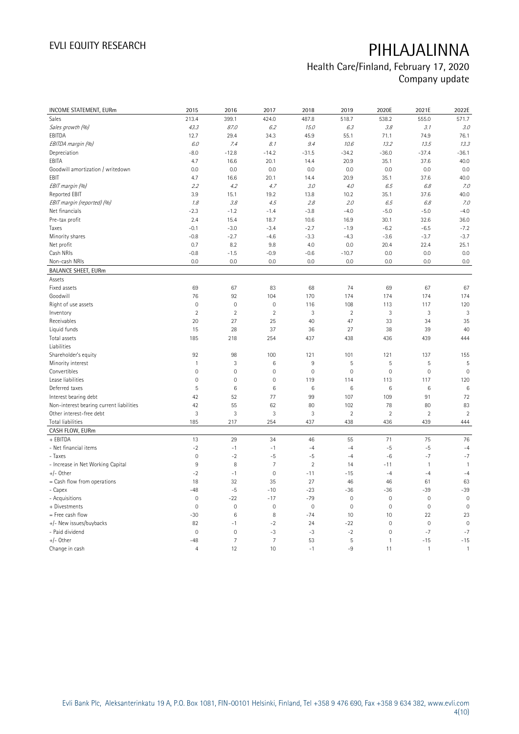## Health Care/Finland, February 17, 2020 Company update

| INCOME STATEMENT, EURm                   | 2015                | 2016           | 2017                | 2018           | 2019                | 2020E               | 2021E          | 2022E          |
|------------------------------------------|---------------------|----------------|---------------------|----------------|---------------------|---------------------|----------------|----------------|
| Sales                                    | 213.4               | 399.1          | 424.0               | 487.8          | 518.7               | 538.2               | 555.0          | 571.7          |
| Sales growth (%)                         | 43.3                | 87.0           | 6.2                 | 15.0           | 6.3                 | 3.8                 | 3.1            | 3.0            |
| EBITDA                                   | 12.7                | 29.4           | 34.3                | 45.9           | 55.1                | 71.1                | 74.9           | 76.1           |
| EBITDA margin (%)                        | 6.0                 | 7.4            | 8.1                 | 9.4            | 10.6                | 13.2                | 13.5           | 13.3           |
| Depreciation                             | $-8.0$              | $-12.8$        | $-14.2$             | $-31.5$        | $-34.2$             | $-36.0$             | $-37.4$        | $-36.1$        |
| EBITA                                    | 4.7                 | 16.6           | 20.1                | 14.4           | 20.9                | 35.1                | 37.6           | 40.0           |
| Goodwill amortization / writedown        | 0.0                 | 0.0            | 0.0                 | 0.0            | 0.0                 | 0.0                 | 0.0            | 0.0            |
| EBIT                                     | 4.7                 | 16.6           | 20.1                | 14.4           | 20.9                | 35.1                | 37.6           | 40.0           |
| EBIT margin (%)                          | 2.2                 | 4.2            | 4.7                 | 3.0            | 4.0                 | 6.5                 | 6.8            | 7.0            |
| Reported EBIT                            | 3.9                 | 15.1           | 19.2                | 13.8           | 10.2                | 35.1                | 37.6           | 40.0           |
| EBIT margin (reported) (%)               | 1.8                 | 3.8            | 4.5                 | 2.8            | 2.0                 | 6.5                 | 6.8            | 7.0            |
| Net financials                           | $-2.3$              | $-1.2$         | $-1.4$              | $-3.8$         | $-4.0$              | $-5.0$              | $-5.0$         | $-4.0$         |
| Pre-tax profit                           | 2.4                 | 15.4           | 18.7                | 10.6           | 16.9                | 30.1                | 32.6           | 36.0           |
| Taxes                                    | $-0.1$              | $-3.0$         | $-3.4$              | $-2.7$         | $-1.9$              | $-6.2$              | $-6.5$         | $-7.2$         |
| Minority shares                          | $-0.8$              | $-2.7$         | $-4.6$              | $-3.3$         | $-4.3$              | $-3.6$              | $-3.7$         | $-3.7$         |
| Net profit                               | 0.7                 | 8.2            | 9.8                 | 4.0            | 0.0                 | 20.4                | 22.4           | 25.1           |
| Cash NRIs                                | $-0.8$              | $-1.5$         | $-0.9$              | $-0.6$         | $-10.7$             | 0.0                 | 0.0            | 0.0            |
| Non-cash NRIs                            | 0.0                 | 0.0            | 0.0                 | 0.0            | 0.0                 | 0.0                 | 0.0            | 0.0            |
| <b>BALANCE SHEET, EURm</b>               |                     |                |                     |                |                     |                     |                |                |
| Assets                                   |                     |                |                     |                |                     |                     |                |                |
| Fixed assets                             | 69                  | 67             | 83                  | 68             | 74                  | 69                  | 67             | 67             |
| Goodwill                                 | 76                  | 92             | 104                 | 170            | 174                 | 174                 | 174            | 174            |
| Right of use assets                      | $\mathsf{O}\xspace$ | $\mathbf 0$    | $\mathbf 0$         | 116            | 108                 | 113                 | 117            | 120            |
| Inventory                                | $\overline{2}$      | $\overline{2}$ | $\overline{2}$      | $\mathfrak{Z}$ | $\overline{2}$      | $\sqrt{3}$          | $\sqrt{3}$     | 3              |
| Receivables                              | 20                  | 27             | 25                  | 40             | 47                  | 33                  | 34             | 35             |
| Liquid funds                             | 15                  | 28             | 37                  | 36             | 27                  | 38                  | 39             | 40             |
| Total assets                             | 185                 | 218            | 254                 | 437            | 438                 | 436                 | 439            | 444            |
| Liabilities                              |                     |                |                     |                |                     |                     |                |                |
| Shareholder's equity                     | 92                  | 98             | 100                 | 121            | 101                 | 121                 | 137            | 155            |
| Minority interest                        | $\mathbf{1}$        | 3              | 6                   | 9              | 5                   | 5                   | $\mathsf S$    | 5              |
| Convertibles                             | $\mathsf{O}\xspace$ | $\mathbf 0$    | $\mathbf 0$         | $\mathbf 0$    | $\mathbf 0$         | $\mathsf{O}\xspace$ | $\mathbf 0$    | $\mathbf 0$    |
| Lease liabilities                        | $\mathsf 0$         | $\mathbf 0$    | $\mathbf 0$         | 119            | 114                 | 113                 | 117            | 120            |
| Deferred taxes                           | 5                   | $\,6\,$        | $\,6$               | 6              | 6                   | 6                   | 6              | 6              |
| Interest bearing debt                    | 42                  | 52             | 77                  | 99             | 107                 | 109                 | 91             | 72             |
| Non-interest bearing current liabilities | 42                  | 55             | 62                  | 80             | 102                 | 78                  | 80             | 83             |
| Other interest-free debt                 | 3                   | 3              | 3                   | 3              | $\overline{2}$      | $\overline{2}$      | $\overline{2}$ | $\overline{2}$ |
| <b>Total liabilities</b>                 | 185                 | 217            | 254                 | 437            | 438                 | 436                 | 439            | 444            |
| CASH FLOW, EURm                          |                     |                |                     |                |                     |                     |                |                |
| + EBITDA                                 | 13                  | 29             | 34                  | 46             | 55                  | 71                  | 75             | 76             |
| - Net financial items                    | $-2$                | $-1$           | $-1$                | $-4$           | $-4$                | $-5$                | $-5$           | $-4$           |
| - Taxes                                  | $\mathsf{O}\xspace$ | $-2$           | $-5$                | $-5$           | $-4$                | $-6$                | $-7$           | $-7$           |
| - Increase in Net Working Capital        | $9\,$               | 8              | $\overline{7}$      | $\overline{2}$ | 14                  | $-11$               | $\mathbf{1}$   | $\mathbf{1}$   |
| $+/-$ Other                              | $-2$                | $-1$           | $\mathsf{O}\xspace$ | $-11$          | $-15$               | $-4$                | $-4$           | $-4$           |
| $=$ Cash flow from operations            | 18                  | 32             | 35                  | 27             | 46                  | 46                  | 61             | 63             |
| - Capex                                  | $-48$               | $-5$           | $-10$               | $-23$          | $-36$               | $-36$               | $-39$          | $-39$          |
| - Acquisitions                           | $\mathbf 0$         | $-22$          | $-17$               | $-79$          | $\mathsf{O}\xspace$ | $\mathbf 0$         | $\mathbf 0$    | $\mathbb O$    |
| + Divestments                            | $\mathsf 0$         | $\mathbf 0$    | $\mathbf 0$         | $\mathbf 0$    | $\mathbf 0$         | $\mathbb O$         | $\mathbf 0$    | $\mathbf 0$    |
| = Free cash flow                         | $-30$               | $\,6\,$        | 8                   | $-74$          | 10                  | 10                  | 22             | 23             |
| +/- New issues/buybacks                  | 82                  | $-1$           | $-2$                | 24             | $-22$               | $\mathbf 0$         | $\mathbf 0$    | $\mathbf 0$    |
| - Paid dividend                          | $\mathsf{O}\xspace$ | $\mathbf 0$    | $-3$                | $-3$           | $-2$                | $\mathsf{O}\xspace$ | $-7$           | $-7$           |
| $+/-$ Other                              | $-48$               | $\overline{7}$ | $\overline{7}$      | 53             | 5                   | $\mathbf{1}$        | $-15$          | $-15$          |
| Change in cash                           | $\overline{4}$      | 12             | 10                  | $-1$           | $-9$                | 11                  | $\mathbf{1}$   | $\mathbf{1}$   |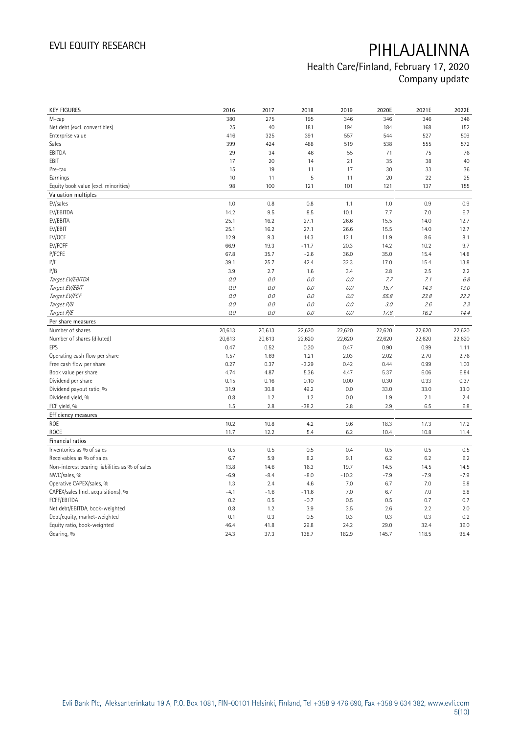## Health Care/Finland, February 17, 2020 Company update

| <b>KEY FIGURES</b>                             | 2016         | 2017         | 2018          | 2019          | 2020E         | 2021E         | 2022E        |
|------------------------------------------------|--------------|--------------|---------------|---------------|---------------|---------------|--------------|
| M-cap                                          | 380          | 275          | 195           | 346           | 346           | 346           | 346          |
| Net debt (excl. convertibles)                  | 25           | 40           | 181           | 194           | 184           | 168           | 152          |
| Enterprise value                               | 416          | 325          | 391           | 557           | 544           | 527           | 509          |
| Sales                                          | 399          | 424          | 488           | 519           | 538           | 555           | 572          |
| EBITDA                                         | 29           | 34           | 46            | 55            | 71            | 75            | 76           |
| EBIT                                           | 17           | 20           | 14            | 21            | 35            | 38            | 40           |
| Pre-tax                                        | 15           | 19           | 11            | 17            | 30            | 33            | 36           |
| Earnings                                       | 10           | 11           | 5             | 11            | 20            | 22            | 25           |
| Equity book value (excl. minorities)           | 98           | 100          | 121           | 101           | 121           | 137           | 155          |
| Valuation multiples                            |              |              |               |               |               |               |              |
| EV/sales                                       | 1.0          | 0.8          | 0.8           | 1.1           | 1.0           | 0.9           | 0.9          |
| EV/EBITDA                                      | 14.2         | 9.5          | 8.5           | 10.1          | 7.7           | 7.0           | 6.7          |
| EV/EBITA                                       | 25.1         | 16.2         | 27.1          | 26.6          | 15.5          | 14.0          | 12.7         |
| EV/EBIT                                        | 25.1         | 16.2         | 27.1          | 26.6          | 15.5          | 14.0          | 12.7         |
| EV/OCF                                         | 12.9         | 9.3          | 14.3          | 12.1          | 11.9          | 8.6           | 8.1          |
| EV/FCFF                                        | 66.9         | 19.3         | $-11.7$       | 20.3          | 14.2          | 10.2          | 9.7          |
| P/FCFE                                         | 67.8         | 35.7         | $-2.6$        | 36.0          | 35.0          | 15.4          | 14.8         |
| P/E                                            | 39.1         | 25.7         | 42.4          | 32.3          | 17.0          | 15.4          | 13.8         |
| P/B                                            | 3.9          | 2.7          | 1.6           | 3.4           | 2.8           | 2.5           | 2.2          |
| Target EV/EBITDA                               | 0.0          | 0.0          | 0.0           | 0.0           | 7.7           | 7.1           | 6.8          |
| Target EV/EBIT                                 | 0.0          | 0.0          | 0.0           | 0.0           | 15.7          | 14.3          | 13.0         |
| Target EV/FCF                                  | 0.0          | 0.0          | 0.0           | 0.0           | 55.8          | 23.8          | 22.2         |
| Target P/B                                     | 0.0          | 0.0          | 0.0           | 0.0           | 3.0           | 2.6           | 2.3          |
| Target P/E                                     | 0.0          | 0.0          | 0.0           | 0.0           | 17.8          | 16.2          | 14.4         |
| Per share measures                             |              |              |               |               |               |               |              |
|                                                |              |              |               |               |               |               |              |
|                                                |              |              |               |               |               |               |              |
| Number of shares                               | 20,613       | 20,613       | 22,620        | 22,620        | 22,620        | 22,620        | 22,620       |
| Number of shares (diluted)<br>EPS              | 20,613       | 20,613       | 22,620        | 22,620        | 22,620        | 22,620        | 22,620       |
|                                                | 0.47         | 0.52         | 0.20          | 0.47          | 0.90          | 0.99          | 1.11         |
| Operating cash flow per share                  | 1.57         | 1.69         | 1.21          | 2.03          | 2.02          | 2.70          | 2.76         |
| Free cash flow per share                       | 0.27         | 0.37         | $-3.29$       | 0.42          | 0.44          | 0.99          | 1.03         |
| Book value per share                           | 4.74         | 4.87         | 5.36          | 4.47          | 5.37          | 6.06          | 6.84         |
| Dividend per share                             | 0.15         | 0.16         | 0.10          | 0.00          | 0.30          | 0.33          | 0.37         |
| Dividend payout ratio, %                       | 31.9<br>0.8  | 30.8         | 49.2<br>1.2   | 0.0<br>0.0    | 33.0<br>1.9   | 33.0<br>2.1   | 33.0         |
| Dividend yield, %                              |              | 1.2          |               |               |               |               | 2.4          |
| FCF yield, %                                   | 1.5          | 2.8          | $-38.2$       | 2.8           | 2.9           | 6.5           | 6.8          |
| Efficiency measures                            |              |              |               |               |               |               |              |
| <b>ROE</b>                                     | 10.2         | 10.8         | 4.2           | 9.6           | 18.3          | 17.3          | 17.2         |
| <b>ROCE</b>                                    | 11.7         | 12.2         | 5.4           | 6.2           | 10.4          | 10.8          | 11.4         |
| Financial ratios                               |              |              |               |               |               |               |              |
| Inventories as % of sales                      | 0.5          | 0.5          | 0.5           | 0.4           | 0.5           | 0.5           | 0.5          |
| Receivables as % of sales                      | 6.7          | 5.9          | 8.2           | 9.1           | 6.2           | 6.2           | 6.2          |
| Non-interest bearing liabilities as % of sales | 13.8         | 14.6         | 16.3          | 19.7          | 14.5          | 14.5          | 14.5         |
| NWC/sales, %                                   | $-6.9$       | $-8.4$       | $-8.0$        | $-10.2$       | $-7.9$        | $-7.9$        | $-7.9$       |
| Operative CAPEX/sales, %                       | 1.3          | 2.4          | 4.6           | 7.0           | 6.7           | 7.0           | 6.8          |
| CAPEX/sales (incl. acquisitions), %            | $-4.1$       | $-1.6$       | $-11.6$       | 7.0           | 6.7           | 7.0           | 6.8          |
| FCFF/EBITDA                                    | 0.2          | 0.5          | $-0.7$        | 0.5           | 0.5           | 0.7           | 0.7          |
| Net debt/EBITDA, book-weighted                 | 0.8          | 1.2          | 3.9           | 3.5           | 2.6           | 2.2           | 2.0          |
| Debt/equity, market-weighted                   | 0.1          | 0.3          | 0.5           | 0.3           | 0.3           | 0.3           | 0.2          |
| Equity ratio, book-weighted<br>Gearing, %      | 46.4<br>24.3 | 41.8<br>37.3 | 29.8<br>138.7 | 24.2<br>182.9 | 29.0<br>145.7 | 32.4<br>118.5 | 36.0<br>95.4 |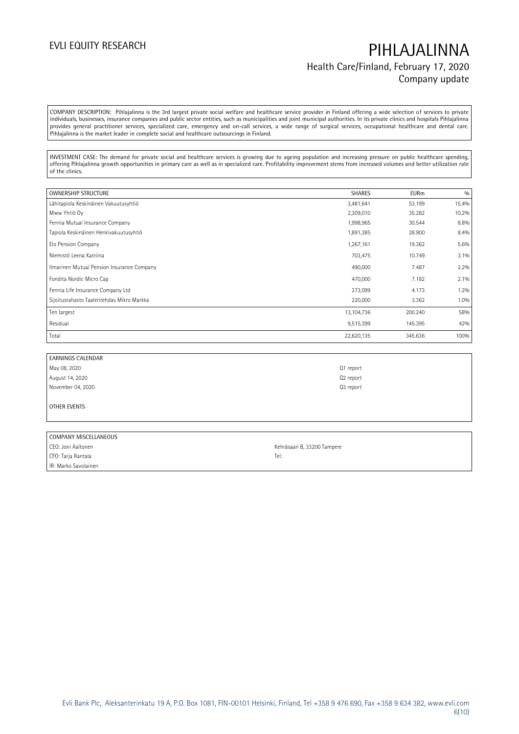## EVLI EQUITY RESEARCH **PIHLAJALINNA** Health Care/Finland, February 17, 2020 Company update

COMPANY DESCRIPTION: Pihlajalinna is the 3rd largest private social welfare and healthcare service provider in Finland offering a wide selection of services to private individuals, businesses, insurance companies and public sector entities, such as municipalities and joint municipal authorities. In its private clinics and hospitals Pihlajalinna provides general practitioner services, specialized care, emergency and on-call services, a wide range of surgical services, occupational healthcare and dental care. Pihlajalinna is the market leader in complete social and healthcare outsourcings in Finland.

INVESTMENT CASE: The demand for private social and healthcare services is growing due to ageing population and increasing pressure on public healthcare spending, offering Pihlajalinna growth opportunities in primary care as well as in specialized care. Profitability improvement stems from increased volumes and better utilization rate of the clinics.

| <b>OWNERSHIP STRUCTURE</b>                 | <b>SHARES</b> | <b>EURm</b> | 0/0     |
|--------------------------------------------|---------------|-------------|---------|
| Lähitapiola Keskinäinen Vakuutusyhtiö      | 3,481,641     | 53.199      | 15.4%   |
| Mww Yhtiö Oy                               | 2,309,010     | 35.282      | 10.2%   |
| Fennia Mutual Insurance Company            | 1,998,965     | 30.544      | 8.8%    |
| Tapiola Keskinäinen Henkivakuutusyhtiö     | 1,891,385     | 28.900      | 8.4%    |
| Elo Pension Company                        | 1,267,161     | 19.362      | 5.6%    |
| Niemistö Leena Katriina                    | 703,475       | 10.749      | 3.1%    |
| Ilmarinen Mutual Pension Insurance Company | 490,000       | 7.487       | 2.2%    |
| Fondita Nordic Micro Cap                   | 470,000       | 7.182       | $2.1\%$ |
| Fennia Life Insurance Company Ltd          | 273,099       | 4.173       | 1.2%    |
| Sijoitusrahasto Taaleritehdas Mikro Markka | 220,000       | 3.362       | 1.0%    |
| Ten largest                                | 13,104,736    | 200.240     | 58%     |
| Residual                                   | 9,515,399     | 145.395     | 42%     |
| Total                                      | 22,620,135    | 345.636     | 100%    |

| EARNINGS CALENDAR |           |
|-------------------|-----------|
| May 08, 2020      | Q1 report |
| August 14, 2020   | Q2 report |
| November 04, 2020 | Q3 report |
|                   |           |

OTHER EVENTS

| COMPANY MISCELLANEOUS |                             |
|-----------------------|-----------------------------|
| CEO: Joni Aaltonen    | Kehräsaari B, 33200 Tampere |
| CFO: Tarja Rantala    | Tel:                        |
| IR: Marko Savolainen  |                             |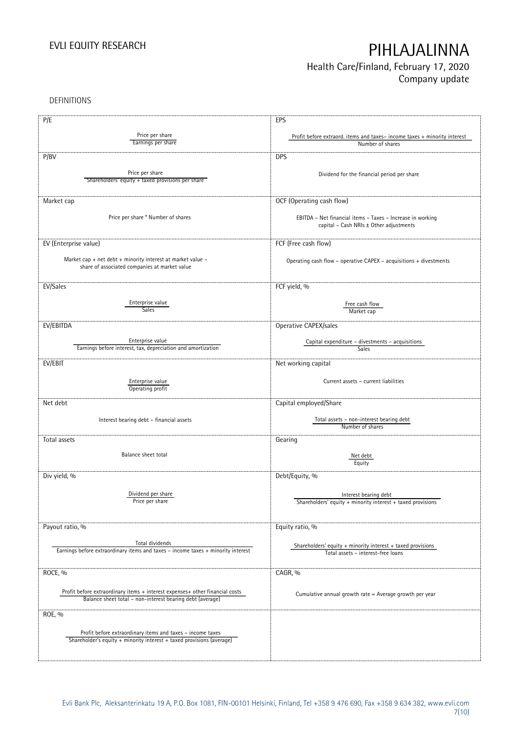## Health Care/Finland, February 17, 2020 Company update

DEFINITIONS

| P/E                                                                              | EPS                                                                      |
|----------------------------------------------------------------------------------|--------------------------------------------------------------------------|
|                                                                                  |                                                                          |
| Price per share                                                                  | Profit before extraord. items and taxes-income taxes + minority interest |
| Earnings per share                                                               | Number of shares                                                         |
| P/BV                                                                             | <b>DPS</b>                                                               |
|                                                                                  |                                                                          |
| Price per share                                                                  | Dividend for the financial period per share                              |
| Shareholders' equity + taxed provisions per share                                |                                                                          |
|                                                                                  |                                                                          |
| Market cap                                                                       | OCF (Operating cash flow)                                                |
|                                                                                  |                                                                          |
| Price per share * Number of shares                                               | EBITDA - Net financial items - Taxes - Increase in working               |
|                                                                                  | capital - Cash NRIs ± Other adjustments                                  |
|                                                                                  |                                                                          |
| EV (Enterprise value)                                                            | FCF (Free cash flow)                                                     |
| Market cap + net debt + minority interest at market value -                      |                                                                          |
| share of associated companies at market value                                    | Operating cash flow - operative CAPEX - acquisitions + divestments       |
|                                                                                  |                                                                          |
|                                                                                  |                                                                          |
| EV/Sales                                                                         | FCF yield, %                                                             |
| Enterprise value                                                                 |                                                                          |
| <b>Sales</b>                                                                     | Free cash flow<br>Market cap                                             |
|                                                                                  |                                                                          |
| EV/EBITDA                                                                        | Operative CAPEX/sales                                                    |
|                                                                                  |                                                                          |
| Enterprise value<br>Earnings before interest, tax, depreciation and amortization | Capital expenditure - divestments - acquisitions<br>Sales                |
|                                                                                  |                                                                          |
| EV/EBIT                                                                          | Net working capital                                                      |
|                                                                                  |                                                                          |
| Enterprise value                                                                 | Current assets - current liabilities                                     |
| Operating profit                                                                 |                                                                          |
| Net debt                                                                         | Capital employed/Share                                                   |
|                                                                                  |                                                                          |
| Interest bearing debt - financial assets                                         | Total assets - non-interest bearing debt                                 |
|                                                                                  | Number of shares                                                         |
| Total assets                                                                     | Gearing                                                                  |
|                                                                                  |                                                                          |
| Balance sheet total                                                              | Net debt                                                                 |
|                                                                                  | Equity                                                                   |
| Div yield, %                                                                     | Debt/Equity, %                                                           |
|                                                                                  |                                                                          |
| Dividend per share                                                               | Interest bearing debt                                                    |
| Price per share                                                                  | Shareholders' equity $+$ minority interest $+$ taxed provisions          |
|                                                                                  |                                                                          |
|                                                                                  |                                                                          |
| Payout ratio, %                                                                  | Equity ratio, %                                                          |
|                                                                                  |                                                                          |
| Total dividends                                                                  | Shareholders' equity $+$ minority interest $+$ taxed provisions          |
| Earnings before extraordinary items and taxes - income taxes + minority interest | Total assets - interest-free loans                                       |
|                                                                                  |                                                                          |
| ROCE, %                                                                          | CAGR, %                                                                  |
|                                                                                  |                                                                          |
| Profit before extraordinary items + interest expenses+ other financial costs     | Cumulative annual growth rate = Average growth per year                  |
| Balance sheet total - non-interest bearing debt (average)                        |                                                                          |
|                                                                                  |                                                                          |
| ROE, %                                                                           |                                                                          |
|                                                                                  |                                                                          |
| Profit before extraordinary items and taxes - income taxes                       |                                                                          |
| Shareholder's equity + minority interest + taxed provisions (average)            |                                                                          |
|                                                                                  |                                                                          |
|                                                                                  |                                                                          |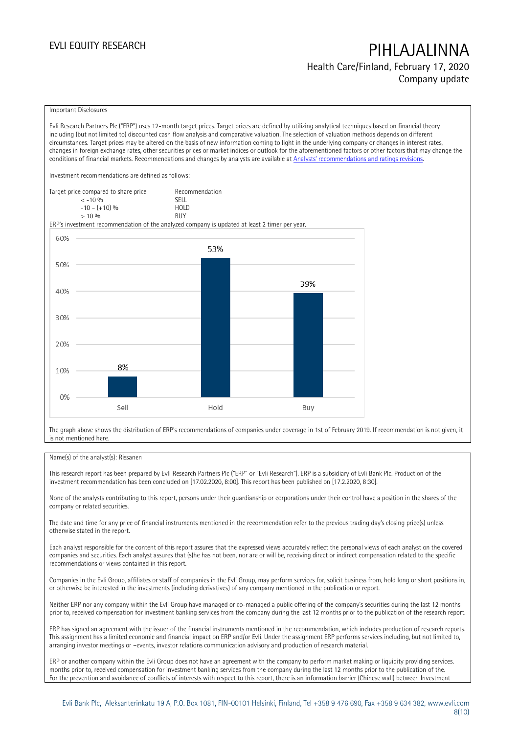Health Care/Finland, February 17, 2020 Company update

### Important Disclosures

Evli Research Partners Plc ("ERP") uses 12-month target prices. Target prices are defined by utilizing analytical techniques based on financial theory including (but not limited to) discounted cash flow analysis and comparative valuation. The selection of valuation methods depends on different circumstances. Target prices may be altered on the basis of new information coming to light in the underlying company or changes in interest rates, changes in foreign exchange rates, other securities prices or market indices or outlook for the aforementioned factors or other factors that may change the conditions of financial markets. Recommendations and changes by analysts are available at [Analysts' recommendations and ratings revisions](https://research.evli.com/JasperAllModels.action?authParam=key;461&authParam=x;G3rNagWrtf7K&authType=3). Investment recommendations are defined as follows: Target price compared to share price Recommendation<br>CELL CALLO 06 < -10 % SELL  $-10 - (+10) \%$  HOL<br>  $> 10 \%$  BUY  $> 10\%$ ERP's investment recommendation of the analyzed company is updated at least 2 timer per year. 60% 53% 50%



The graph above shows the distribution of ERP's recommendations of companies under coverage in 1st of February 2019. If recommendation is not given, it is not mentioned here.

### Name(s) of the analyst(s): Rissanen

This research report has been prepared by Evli Research Partners Plc ("ERP" or "Evli Research"). ERP is a subsidiary of Evli Bank Plc. Production of the investment recommendation has been concluded on [17.02.2020, 8:00]. This report has been published on [17.2.2020, 8:30].

None of the analysts contributing to this report, persons under their guardianship or corporations under their control have a position in the shares of the company or related securities.

The date and time for any price of financial instruments mentioned in the recommendation refer to the previous trading day's closing price(s) unless otherwise stated in the report.

Each analyst responsible for the content of this report assures that the expressed views accurately reflect the personal views of each analyst on the covered companies and securities. Each analyst assures that (s)he has not been, nor are or will be, receiving direct or indirect compensation related to the specific recommendations or views contained in this report.

Companies in the Evli Group, affiliates or staff of companies in the Evli Group, may perform services for, solicit business from, hold long or short positions in, or otherwise be interested in the investments (including derivatives) of any company mentioned in the publication or report.

Neither ERP nor any company within the Evli Group have managed or co-managed a public offering of the company's securities during the last 12 months prior to, received compensation for investment banking services from the company during the last 12 months prior to the publication of the research report.

ERP has signed an agreement with the issuer of the financial instruments mentioned in the recommendation, which includes production of research reports. This assignment has a limited economic and financial impact on ERP and/or Evli. Under the assignment ERP performs services including, but not limited to, arranging investor meetings or –events, investor relations communication advisory and production of research material.

ERP or another company within the Evli Group does not have an agreement with the company to perform market making or liquidity providing services. months prior to, received compensation for investment banking services from the company during the last 12 months prior to the publication of the. For the prevention and avoidance of conflicts of interests with respect to this report, there is an information barrier (Chinese wall) between Investment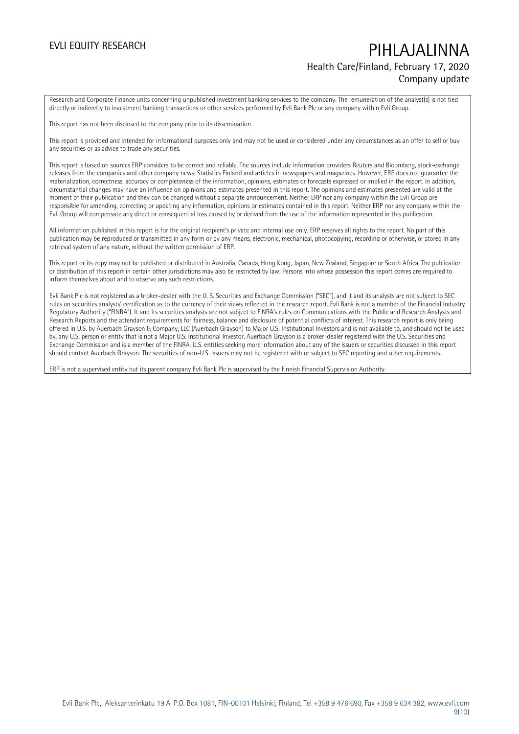## EVLI EQUITY RESEARCH PIHLAJALINNA Health Care/Finland, February 17, 2020 Company update

Research and Corporate Finance units concerning unpublished investment banking services to the company. The remuneration of the analyst(s) is not tied directly or indirectly to investment banking transactions or other services performed by Evli Bank Plc or any company within Evli Group.

This report has not been disclosed to the company prior to its dissemination.

This report is provided and intended for informational purposes only and may not be used or considered under any circumstances as an offer to sell or buy any securities or as advice to trade any securities.

This report is based on sources ERP considers to be correct and reliable. The sources include information providers Reuters and Bloomberg, stock-exchange releases from the companies and other company news, Statistics Finland and articles in newspapers and magazines. However, ERP does not guarantee the materialization, correctness, accuracy or completeness of the information, opinions, estimates or forecasts expressed or implied in the report. In addition, circumstantial changes may have an influence on opinions and estimates presented in this report. The opinions and estimates presented are valid at the moment of their publication and they can be changed without a separate announcement. Neither ERP nor any company within the Evli Group are responsible for amending, correcting or updating any information, opinions or estimates contained in this report. Neither ERP nor any company within the Evli Group will compensate any direct or consequential loss caused by or derived from the use of the information represented in this publication.

All information published in this report is for the original recipient's private and internal use only. ERP reserves all rights to the report. No part of this publication may be reproduced or transmitted in any form or by any means, electronic, mechanical, photocopying, recording or otherwise, or stored in any retrieval system of any nature, without the written permission of ERP.

This report or its copy may not be published or distributed in Australia, Canada, Hong Kong, Japan, New Zealand, Singapore or South Africa. The publication or distribution of this report in certain other jurisdictions may also be restricted by law. Persons into whose possession this report comes are required to inform themselves about and to observe any such restrictions.

Evli Bank Plc is not registered as a broker-dealer with the U. S. Securities and Exchange Commission ("SEC"), and it and its analysts are not subject to SEC rules on securities analysts' certification as to the currency of their views reflected in the research report. Evli Bank is not a member of the Financial Industry Regulatory Authority ("FINRA"). It and its securities analysts are not subject to FINRA's rules on Communications with the Public and Research Analysts and Research Reports and the attendant requirements for fairness, balance and disclosure of potential conflicts of interest. This research report is only being offered in U.S. by Auerbach Grayson & Company, LLC (Auerbach Grayson) to Major U.S. Institutional Investors and is not available to, and should not be used by, any U.S. person or entity that is not a Major U.S. Institutional Investor. Auerbach Grayson is a broker-dealer registered with the U.S. Securities and Exchange Commission and is a member of the FINRA. U.S. entities seeking more information about any of the issuers or securities discussed in this report should contact Auerbach Grayson. The securities of non-U.S. issuers may not be registered with or subject to SEC reporting and other requirements.

ERP is not a supervised entity but its parent company Evli Bank Plc is supervised by the Finnish Financial Supervision Authority.